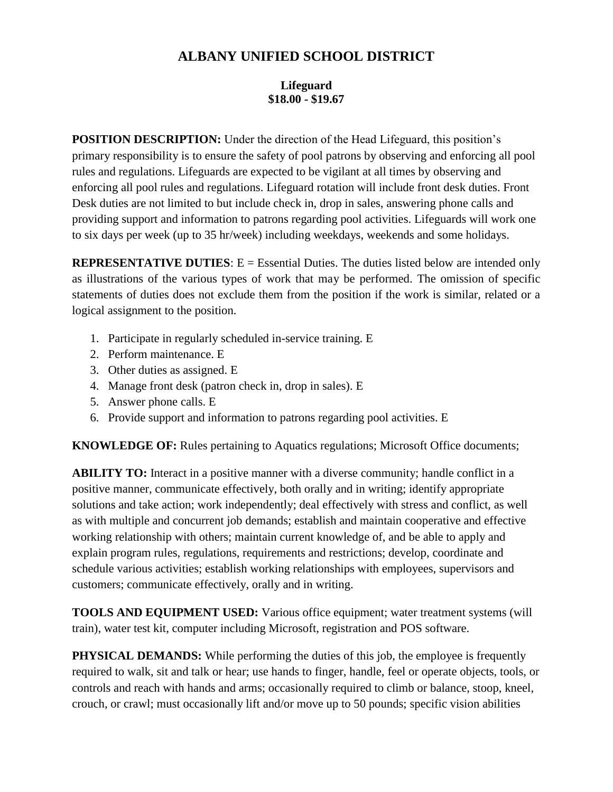## **ALBANY UNIFIED SCHOOL DISTRICT**

## **Lifeguard \$18.00 - \$19.67**

**POSITION DESCRIPTION:** Under the direction of the Head Lifeguard, this position's primary responsibility is to ensure the safety of pool patrons by observing and enforcing all pool rules and regulations. Lifeguards are expected to be vigilant at all times by observing and enforcing all pool rules and regulations. Lifeguard rotation will include front desk duties. Front Desk duties are not limited to but include check in, drop in sales, answering phone calls and providing support and information to patrons regarding pool activities. Lifeguards will work one to six days per week (up to 35 hr/week) including weekdays, weekends and some holidays.

**REPRESENTATIVE DUTIES:** E = Essential Duties. The duties listed below are intended only as illustrations of the various types of work that may be performed. The omission of specific statements of duties does not exclude them from the position if the work is similar, related or a logical assignment to the position.

- 1. Participate in regularly scheduled in-service training. E
- 2. Perform maintenance. E
- 3. Other duties as assigned. E
- 4. Manage front desk (patron check in, drop in sales). E
- 5. Answer phone calls. E
- 6. Provide support and information to patrons regarding pool activities. E

**KNOWLEDGE OF:** Rules pertaining to Aquatics regulations; Microsoft Office documents;

**ABILITY TO:** Interact in a positive manner with a diverse community; handle conflict in a positive manner, communicate effectively, both orally and in writing; identify appropriate solutions and take action; work independently; deal effectively with stress and conflict, as well as with multiple and concurrent job demands; establish and maintain cooperative and effective working relationship with others; maintain current knowledge of, and be able to apply and explain program rules, regulations, requirements and restrictions; develop, coordinate and schedule various activities; establish working relationships with employees, supervisors and customers; communicate effectively, orally and in writing.

**TOOLS AND EQUIPMENT USED:** Various office equipment; water treatment systems (will train), water test kit, computer including Microsoft, registration and POS software.

**PHYSICAL DEMANDS:** While performing the duties of this job, the employee is frequently required to walk, sit and talk or hear; use hands to finger, handle, feel or operate objects, tools, or controls and reach with hands and arms; occasionally required to climb or balance, stoop, kneel, crouch, or crawl; must occasionally lift and/or move up to 50 pounds; specific vision abilities